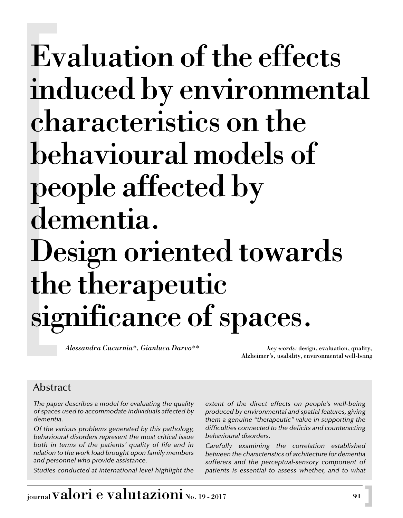*Alessandra Cucurnia\*, Gianluca Darvo\*\* key words:* design, evaluation, quality,

Alzheimer's, usability, environmental well-being

## Abstract

*The paper describes a model for evaluating the quality of spaces used to accommodate individuals affected by dementia.*

*Of the various problems generated by this pathology, behavioural disorders represent the most critical issue both in terms of the patients' quality of life and in relation to the work load brought upon family members and personnel who provide assistance.* 

*Studies conducted at international level highlight the*

*extent of the direct effects on people's well-being produced by environmental and spatial features, giving them a genuine "therapeutic" value in supporting the difficulties connected to the deficits and counteracting behavioural disorders.*

*Carefully examining the correlation established between the characteristics of architecture for dementia sufferers and the perceptual-sensory component of patients is essential to assess whether, and to what*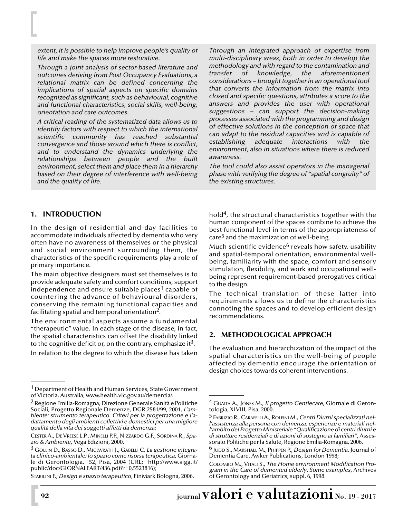*extent, it is possible to help improve people's quality of life and make the spaces more restorative.*

*Through a joint analysis of sector-based literature and outcomes deriving from Post Occupancy Evaluations, a relational matrix can be defined concerning the implications of spatial aspects on specific domains recognized as significant, such as behavioural, cognitive and functional characteristics, social skills, well-being, orientation and care outcomes.* 

*A critical reading of the systematized data allows us to identify factors with respect to which the international scientific community has reached substantial convergence and those around which there is conflict, and to understand the dynamics underlying the relationships between people and the built environment, select them and place them in a hierarchy based on their degree of interference with well-being and the quality of life.*

*Through an integrated approach of expertise from multi-disciplinary areas, both in order to develop the methodology and with regard to the contamination and transfer of knowledge, the aforementioned considerations – brought together in an operational tool that converts the information from the matrix into closed and specific questions, attributes a score to the answers and provides the user with operational suggestions – can support the decision-making processes associated with the programming and design of effective solutions in the conception of space that can adapt to the residual capacities and is capable of establishing adequate interactions with the environment, also in situations where there is reduced awareness.* 

*The tool could also assist operators in the managerial phase with verifying the degree of "spatial congruity" of the existing structures.*

#### **1. INTRODUCTION**

In the design of residential and day facilities to accommodate individuals affected by dementia who very often have no awareness of themselves or the physical and social environment surrounding them, the characteristics of the specific requirements play a role of primary importance.

The main objective designers must set themselves is to provide adequate safety and comfort conditions, support independence and ensure suitable places<sup>1</sup> capable of countering the advance of behavioural disorders, conserving the remaining functional capacities and facilitating spatial and temporal orientation2.

The environmental aspects assume a fundamental "therapeutic" value. In each stage of the disease, in fact, the spatial characteristics can offset the disability linked to the cognitive deficit or, on the contrary, emphasize it<sup>3</sup>.

In relation to the degree to which the disease has taken

hold4, the structural characteristics together with the human component of the spaces combine to achieve the best functional level in terms of the appropriateness of care5 and the maximization of well-being.

Much scientific evidence<sup>6</sup> reveals how safety, usability and spatial-temporal orientation, environmental wellbeing, familiarity with the space, comfort and sensory stimulation, flexibility, and work and occupational wellbeing represent requirement-based prerogatives critical to the design.

The technical translation of these latter into requirements allows us to define the characteristics connoting the spaces and to develop efficient design recommendations.

#### **2. METHODOLOGICAL APPROACH**

The evaluation and hierarchization of the impact of the spatial characteristics on the well-being of people affected by dementia encourage the orientation of design choices towards coherent interventions.

<sup>&</sup>lt;sup>1</sup> Department of Health and Human Services, State Government of Victoria, Australia, www.health.vic.gov.au/dementia/.

<sup>2</sup> Regione Emilia-Romagna, Direzione Generale Sanità e Politiche Sociali, Progetto Regionale Demenze, DGR 2581/99, 2001, *L'ambiente: strumento terapeutico. Criteri per la progettazione e l'adattamento degli ambienti collettivi e domestici per una migliore qualità della vita dei soggetti affetti da demenza*;

CESTER A., DE VREESE L.P., MINELLI P.P., NIZZARDO G.F., SORDINA R., *Spazio & Ambiente*, Vega Edizioni, 2000.

<sup>3</sup> GOLLIN D., BASSO D., MICLWRATH J., GABELLI C. *La gestione integrata clinico-ambientale: lo spazio come risorsa terapeutica,* Giornale di Gerontologia, 52, Pisa, 2004 (URL: http://www.sigg.it/ public/doc/GIORNALEART/436.pdf?r=0,5523816);

STABILINI F., *Design e spazio terapeutico*, FinMark Bologna, 2006.

<sup>4</sup> GUAITA A., JONES M., *Il progetto Gentlecare*, Giornale di Gerontologia, XLVIII, Pisa, 2000.

<sup>5</sup> FABRIZIO R., CARAFELLI A., ROLFINI M., *Centri Diurni specializzati nell'assistenza alla persona con demenza: esperienze e materiali nell'ambito del Progetto Ministeriale "Qualificazione di centri diurni e di strutture residenziali e di azioni di sostegno ai familiari"*, Assessorato Politiche per la Salute, Regione Emilia-Romagna, 2006.

<sup>6</sup> JUDD S., MARSHALL M., PHIPPEN P., *Design for Dementia*, Journal of Dementia Care, Awker Publications, London 1998;

COLOMBO M., VITALI S., *The Home environment Modification Program in the Care of demented elderly*. *Some examples*, Archives of Gerontology and Geriatrics, suppl. 6, 1998.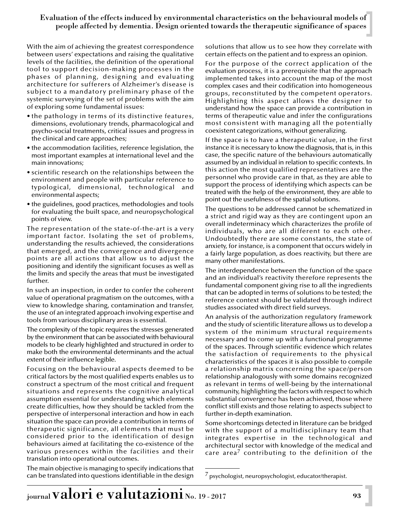With the aim of achieving the greatest correspondence between users' expectations and raising the qualitative levels of the facilities, the definition of the operational tool to support decision-making processes in the phases of planning, designing and evaluating architecture for sufferers of Alzheimer's disease is subject to a mandatory preliminary phase of the systemic surveying of the set of problems with the aim of exploring some fundamental issues:

- the pathology in terms of its distinctive features, dimensions, evolutionary trends, pharmacological and psycho-social treatments, critical issues and progress in the clinical and care approaches;
- the accommodation facilities, reference legislation, the most important examples at international level and the main innovations;
- scientific research on the relationships between the environment and people with particular reference to typological, dimensional, technological and environmental aspects;
- the guidelines, good practices, methodologies and tools for evaluating the built space, and neuropsychological points of view.

The representation of the state-of-the-art is a very important factor. Isolating the set of problems, understanding the results achieved, the considerations that emerged, and the convergence and divergence points are all actions that allow us to adjust the positioning and identify the significant focuses as well as the limits and specify the areas that must be investigated further.

In such an inspection, in order to confer the coherent value of operational pragmatism on the outcomes, with a view to knowledge sharing, contamination and transfer, the use of an integrated approach involving expertise and tools from various disciplinary areas is essential.

The complexity of the topic requires the stresses generated by the environment that can be associated with behavioural models to be clearly highlighted and structured in order to make both the environmental determinants and the actual extent of their influence legible.

Focusing on the behavioural aspects deemed to be critical factors by the most qualified experts enables us to construct a spectrum of the most critical and frequent situations and represents the cognitive analytical assumption essential for understanding which elements create difficulties, how they should be tackled from the perspective of interpersonal interaction and how in each situation the space can provide a contribution in terms of therapeutic significance, all elements that must be considered prior to the identification of design behaviours aimed at facilitating the co-existence of the various presences within the facilities and their translation into operational outcomes.

The main objective is managing to specify indications that can be translated into questions identifiable in the design

solutions that allow us to see how they correlate with certain effects on the patient and to express an opinion.

For the purpose of the correct application of the evaluation process, it is a prerequisite that the approach implemented takes into account the map of the most complex cases and their codification into homogeneous groups, reconstituted by the competent operators. Highlighting this aspect allows the designer to understand how the space can provide a contribution in terms of therapeutic value and infer the configurations most consistent with managing all the potentially coexistent categorizations, without generalizing.

If the space is to have a therapeutic value, in the first instance it is necessary to know the diagnosis, that is, in this case, the specific nature of the behaviours automatically assumed by an individual in relation to specific contexts. In this action the most qualified representatives are the personnel who provide care in that, as they are able to support the process of identifying which aspects can be treated with the help of the environment, they are able to point out the usefulness of the spatial solutions.

The questions to be addressed cannot be schematized in a strict and rigid way as they are contingent upon an overall indeterminacy which characterizes the profile of individuals, who are all different to each other. Undoubtedly there are some constants, the state of anxiety, for instance, is a component that occurs widely in a fairly large population, as does reactivity, but there are many other manifestations.

The interdependence between the function of the space and an individual's reactivity therefore represents the fundamental component giving rise to all the ingredients that can be adopted in terms of solutions to be tested; the reference context should be validated through indirect studies associated with direct field surveys.

An analysis of the authorization regulatory framework and the study of scientific literature allows us to develop a system of the minimum structural requirements necessary and to come up with a functional programme of the spaces. Through scientific evidence which relates the satisfaction of requirements to the physical characteristics of the spaces it is also possible to compile a relationship matrix concerning the space/person relationship analogously with some domains recognized as relevant in terms of well-being by the international community, highlighting the factors with respect to which substantial convergence has been achieved, those where conflict still exists and those relating to aspects subject to further in-depth examination.

Some shortcomings detected in literature can be bridged with the support of a multidisciplinary team that integrates expertise in the technological and architectural sector with knowledge of the medical and care area<sup>7</sup> contributing to the definition of the

 $\frac{7}{2}$  psychologist, neuropsychologist, educator/therapist.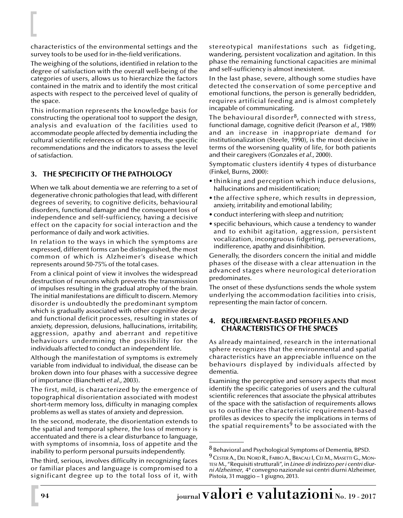characteristics of the environmental settings and the survey tools to be used for in-the-field verifications.

The weighing of the solutions, identified in relation to the degree of satisfaction with the overall well-being of the categories of users, allows us to hierarchize the factors contained in the matrix and to identify the most critical aspects with respect to the perceived level of quality of the space.

This information represents the knowledge basis for constructing the operational tool to support the design, analysis and evaluation of the facilities used to accommodate people affected by dementia including the cultural scientific references of the requests, the specific recommendations and the indicators to assess the level of satisfaction.

## **3. THE SPECIFICITY OF THE PATHOLOGY**

When we talk about dementia we are referring to a set of degenerative chronic pathologies that lead, with different degrees of severity, to cognitive deficits, behavioural disorders, functional damage and the consequent loss of independence and self-sufficiency, having a decisive effect on the capacity for social interaction and the performance of daily and work activities.

In relation to the ways in which the symptoms are expressed, different forms can be distinguished, the most common of which is Alzheimer's disease which represents around 50-75% of the total cases.

From a clinical point of view it involves the widespread destruction of neurons which prevents the transmission of impulses resulting in the gradual atrophy of the brain. The initial manifestations are difficult to discern. Memory disorder is undoubtedly the predominant symptom which is gradually associated with other cognitive decay and functional deficit processes, resulting in states of anxiety, depression, delusions, hallucinations, irritability, aggression, apathy and aberrant and repetitive behaviours undermining the possibility for the individuals affected to conduct an independent life.

Although the manifestation of symptoms is extremely variable from individual to individual, the disease can be broken down into four phases with a successive degree of importance (Bianchetti *et al.,* 2003).

The first, mild, is characterized by the emergence of topographical disorientation associated with modest short-term memory loss, difficulty in managing complex problems as well as states of anxiety and depression.

In the second, moderate, the disorientation extends to the spatial and temporal sphere, the loss of memory is accentuated and there is a clear disturbance to language, with symptoms of insomnia, loss of appetite and the inability to perform personal pursuits independently.

The third, serious, involves difficulty in recognizing faces or familiar places and language is compromised to a significant degree up to the total loss of it, with

stereotypical manifestations such as fidgeting, wandering, persistent vocalization and agitation. In this phase the remaining functional capacities are minimal and self-sufficiency is almost inexistent.

In the last phase, severe, although some studies have detected the conservation of some perceptive and emotional functions, the person is generally bedridden, requires artificial feeding and is almost completely incapable of communicating.

The behavioural disorder<sup>8</sup>, connected with stress, functional damage, cognitive deficit (Pearson *et al.,* 1989) and an increase in inappropriate demand for institutionalization (Steele, 1990), is the most decisive in terms of the worsening quality of life, for both patients and their caregivers (Gonzales *et al.,* 2000).

Symptomatic clusters identify 4 types of disturbance (Finkel, Burns, 2000):

- thinking and perception which induce delusions, hallucinations and misidentification;
- the affective sphere, which results in depression, anxiety, irritability and emotional lability;
- conduct interfering with sleep and nutrition;
- specific behaviours, which cause a tendency to wander and to exhibit agitation, aggression, persistent vocalization, incongruous fidgeting, perseverations, indifference, apathy and disinhibition.

Generally, the disorders concern the initial and middle phases of the disease with a clear attenuation in the advanced stages where neurological deterioration predominates.

The onset of these dysfunctions sends the whole system underlying the accommodation facilities into crisis, representing the main factor of concern.

#### **4. REQUIREMENT-BASED PROFILES AND CHARACTERISTICS OF THE SPACES**

As already maintained, research in the international sphere recognizes that the environmental and spatial characteristics have an appreciable influence on the behaviours displayed by individuals affected by dementia.

Examining the perceptive and sensory aspects that most identify the specific categories of users and the cultural scientific references that associate the physical attributes of the space with the satisfaction of requirements allows us to outline the characteristic requirement-based profiles as devices to specify the implications in terms of the spatial requirements<sup>9</sup> to be associated with the

<sup>8</sup> Behavioral and Psychological Symptoms of Dementia, BPSD.

<sup>&</sup>lt;sup>9</sup> Cester A., Del Nord R., Fabbo A., Bracall I, Cel M., Masetti G., Mon-TESI M., "Requisiti strutturali", in *Linee di indirizzo per i centri diurni Alzheimer*, 4° convegno nazionale sui centri diurni Alzheimer, Pistoia, 31 maggio – 1 giugno, 2013.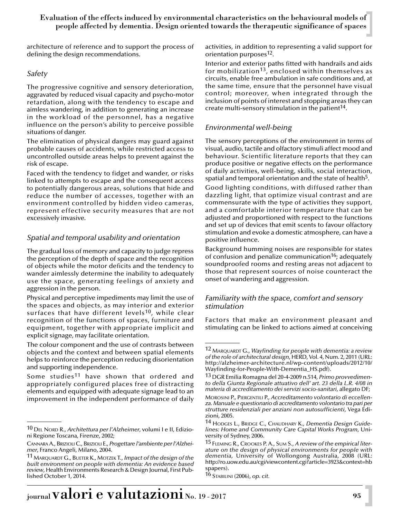architecture of reference and to support the process of defining the design recommendations.

#### *Safety*

The progressive cognitive and sensory deterioration, aggravated by reduced visual capacity and psycho-motor retardation, along with the tendency to escape and aimless wandering, in addition to generating an increase in the workload of the personnel, has a negative influence on the person's ability to perceive possible situations of danger.

The elimination of physical dangers may guard against probable causes of accidents, while restricted access to uncontrolled outside areas helps to prevent against the risk of escape.

Faced with the tendency to fidget and wander, or risks linked to attempts to escape and the consequent access to potentially dangerous areas, solutions that hide and reduce the number of accesses, together with an environment controlled by hidden video cameras, represent effective security measures that are not excessively invasive.

## *Spatial and temporal usability and orientation*

The gradual loss of memory and capacity to judge repress the perception of the depth of space and the recognition of objects while the motor deficits and the tendency to wander aimlessly determine the inability to adequately use the space, generating feelings of anxiety and aggression in the person.

Physical and perceptive impediments may limit the use of the spaces and objects, as may interior and exterior surfaces that have different levels<sup>10</sup>, while clear recognition of the functions of spaces, furniture and equipment, together with appropriate implicit and explicit signage, may facilitate orientation.

The colour component and the use of contrasts between objects and the context and between spatial elements helps to reinforce the perception reducing disorientation and supporting independence.

Some studies<sup>11</sup> have shown that ordered and appropriately configured places free of distracting elements and equipped with adequate signage lead to an improvement in the independent performance of daily

activities, in addition to representing a valid support for orientation purposes<sup>12</sup>.

Interior and exterior paths fitted with handrails and aids for mobilization<sup>13</sup>, enclosed within themselves as circuits, enable free ambulation in safe conditions and, at the same time, ensure that the personnel have visual control; moreover, when integrated through the inclusion of points of interest and stopping areas they can create multi-sensory stimulation in the patient<sup>14</sup>.

## *Environmental well-being*

The sensory perceptions of the environment in terms of visual, audio, tactile and olfactory stimuli affect mood and behaviour. Scientific literature reports that they can produce positive or negative effects on the performance of daily activities, well-being, skills, social interaction, spatial and temporal orientation and the state of health<sup>5</sup>.

Good lighting conditions, with diffused rather than dazzling light, that optimize visual contrast and are commensurate with the type of activities they support, and a comfortable interior temperature that can be adjusted and proportioned with respect to the functions and set up of devices that emit scents to favour olfactory stimulation and evoke a domestic atmosphere, can have a positive influence.

Background humming noises are responsible for states of confusion and penalize communication<sup>16</sup>; adequately soundproofed rooms and resting areas not adjacent to those that represent sources of noise counteract the onset of wandering and aggression.

#### *Familiarity with the space, comfort and sensory stimulation*

Factors that make an environment pleasant and stimulating can be linked to actions aimed at conceiving

<sup>10</sup> DEL NORD R., *Architettura per l'Alzheimer*, volumi I e II, Edizioni Regione Toscana, Firenze, 2002;

CANNARA A., BRIZIOLI C., BRIZIOLI E., *Progettare l'ambiente per l'Alzheimer*, Franco Angeli, Milano, 2004.

<sup>11</sup> MARQUARDT G., BUETER K., MOTZEK T., *Impact of the design of the built environment on people with dementia: An evidence based review*, Health Environments Research & Design Journal, First Published October 1, 2014.

<sup>12</sup> MARQUARDT G., *Wayfinding for people with dementia: a review of the role of architectural design*, HERD, Vol. 4, Num. 2, 2011 (URL: http://alzheimer-architecture.nl/wp-content/uploads/2012/10/ Wayfinding-for-People-With-Dementia\_HS.pdf).

<sup>13</sup> DGR Emilia Romagna del 20-4-2009 n.514, *Primo provvedimento della Giunta Regionale attuativo dell' art. 23 della L.R. 4/08 in materia di accreditamento dei servizi socio-sanitari*, allegato DF;

MOROSINI P., PIERGENTILI P., *Accreditamento volontario di eccellenza. Manuale e questionario di accreditamento volontario tra pari per strutture residenziali per anziani non autosufficienti*, Vega Edizioni, 2005.

<sup>14</sup> HODGES L., BRIDGE C., CHAUDHARY K., *Dementia Design Guidelines: Home and Community Care Capital Works Program*, University of Sydney, 2006.

<sup>15</sup> FLEMING R., CROOKES P. A., SUM S., *A review of the empirical literature on the design of physical environments for people with dementia*, University of Wollongong Australia, 2008 (URL: http://ro.uow.edu.au/cgi/viewcontent.cgi?article=3923&context=hb spapers).

<sup>16</sup> STABILINI (2006), *op. cit.*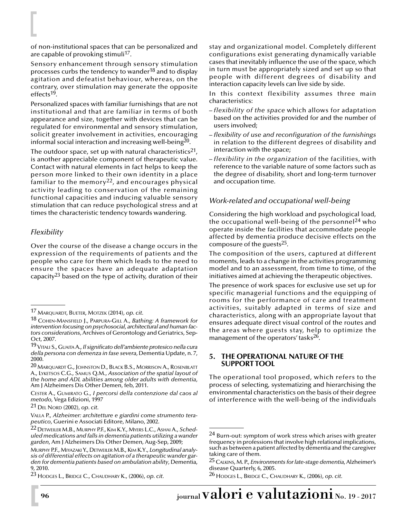of non-institutional spaces that can be personalized and are capable of provoking stimuli<sup>17</sup>.

Sensory enhancement through sensory stimulation processes curbs the tendency to wander<sup>18</sup> and to display agitation and defeatist behaviour, whereas, on the contrary, over stimulation may generate the opposite effects19.

Personalized spaces with familiar furnishings that are not institutional and that are familiar in terms of both appearance and size, together with devices that can be regulated for environmental and sensory stimulation, solicit greater involvement in activities, encouraging informal social interaction and increasing well-being $^{20}$ .

The outdoor space, set up with natural characteristics<sup>21</sup>, is another appreciable component of therapeutic value. Contact with natural elements in fact helps to keep the person more linked to their own identity in a place familiar to the memory<sup>22</sup>, and encourages physical activity leading to conservation of the remaining functional capacities and inducing valuable sensory stimulation that can reduce psychological stress and at times the characteristic tendency towards wandering.

#### *Flexibility*

Over the course of the disease a change occurs in the expression of the requirements of patients and the people who care for them which leads to the need to ensure the spaces have an adequate adaptation capacity<sup>23</sup> based on the type of activity, duration of their stay and organizational model. Completely different configurations exist generating dynamically variable cases that inevitably influence the use of the space, which in turn must be appropriately sized and set up so that people with different degrees of disability and interaction capacity levels can live side by side.

In this context flexibility assumes three main characteristics:

- *flexibility of the space* which allows for adaptation based on the activities provided for and the number of users involved;
- *flexibility of use and reconfiguration of the furnishings* in relation to the different degrees of disability and interaction with the space;
- *flexibility in the organization* of the facilities, with reference to the variable nature of some factors such as the degree of disability, short and long-term turnover and occupation time.

## *Work-related and occupational well-being*

Considering the high workload and psychological load, the occupational well-being of the personnel<sup>24</sup> who operate inside the facilities that accommodate people affected by dementia produce decisive effects on the composure of the guests25.

The composition of the users, captured at different moments, leads to a change in the activities programming model and to an assessment, from time to time, of the initiatives aimed at achieving the therapeutic objectives.

The presence of work spaces for exclusive use set up for specific managerial functions and the equipping of rooms for the performance of care and treatment activities, suitably adapted in terms of size and characteristics, along with an appropriate layout that ensures adequate direct visual control of the routes and the areas where guests stay, help to optimize the management of the operators' tasks<sup>26</sup>.

#### **5. THE OPERATIONAL NATURE OF THE SUPPORT TOOL**

The operational tool proposed, which refers to the process of selecting, systematizing and hierarchising the environmental characteristics on the basis of their degree of interference with the well-being of the individuals

<sup>17</sup> MARQUARDT, BUETER, MOTZEK (2014), *op. cit.*

<sup>18</sup> COHEN-MANSFIELD J., PARPURA-GILL A., *Bathing: A framework for intervention focusing on psychosocial, architectural and human factors considerations*, Archives of Gerontology and Geriatrics, Sep-Oct, 2007.

<sup>19</sup>VITALI S., GUAITA A., *Il significato dell'ambiente protesico nella cura della persona con demenza in fase severa*, Dementia Update, n. 7, 2000.

<sup>20</sup> MARQUARDT G., JOHNSTON D., BLACK B.S., MORRISON A., ROSENBLATT A., LYKETSOS C.G., SAMUS Q.M., *Association of the spatial layout of the home and ADL abilities among older adults with dementia*, Am J Alzheimers Dis Other Demen, feb, 2011.

CESTER A., GUMIRATO G., *I percorsi della contenzione dal caos al metodo*, Vega Edizioni, 1997

<sup>21</sup> DEL NORD (2002), *op. cit.*

VALLA P., *Alzheimer: architetture e giardini come strumento terapeutico*, Guerini e Associati Editore, Milano, 2002.

<sup>22</sup> DETWEILER M.B., MURPHY P.F., KIM K.Y., MYERS L.C., ASHAI A., *Scheduled medications and falls in dementia patients utilizing a wander garden*, Am J Alzheimers Dis Other Demen, Aug-Sep, 2009;

MURPHY P.F., MIYAZAKIY., DETWEILER M.B., KIM K.Y., *Longitudinal analysis of differential effects on agitation of a therapeutic wander garden for dementia patients based on ambulation ability*, Dementia, 9, 2010.

<sup>23</sup> HODGES L., BRIDGE C., CHAUDHARY K., (2006), *op. cit.*

<sup>&</sup>lt;sup>24</sup> Burn-out: symptom of work stress which arises with greater frequency in professions that involve high relational implications, such as between a patient affected by dementia and the caregiver taking care of them.

<sup>25</sup> CALKINS, M. P., *Environments for late-stage dementia*, Alzheimer's disease Quarterly, 6, 2005.

<sup>26</sup> HODGES L., BRIDGE C., CHAUDHARY K., (2006), *op. cit.*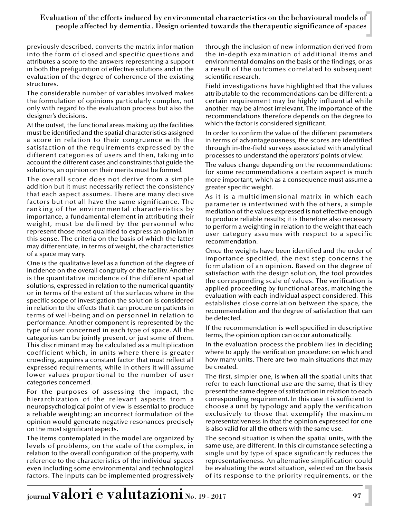previously described, converts the matrix information into the form of closed and specific questions and attributes a score to the answers representing a support in both the prefiguration of effective solutions and in the evaluation of the degree of coherence of the existing structures.

The considerable number of variables involved makes the formulation of opinions particularly complex, not only with regard to the evaluation process but also the designer's decisions.

At the outset, the functional areas making up the facilities must be identified and the spatial characteristics assigned a score in relation to their congruence with the satisfaction of the requirements expressed by the different categories of users and then, taking into account the different cases and constraints that guide the solutions, an opinion on their merits must be formed.

The overall score does not derive from a simple addition but it must necessarily reflect the consistency that each aspect assumes. There are many decisive factors but not all have the same significance. The ranking of the environmental characteristics by importance, a fundamental element in attributing their weight, must be defined by the personnel who represent those most qualified to express an opinion in this sense. The criteria on the basis of which the latter may differentiate, in terms of weight, the characteristics of a space may vary.

One is the qualitative level as a function of the degree of incidence on the overall congruity of the facility. Another is the quantitative incidence of the different spatial solutions, expressed in relation to the numerical quantity or in terms of the extent of the surfaces where in the specific scope of investigation the solution is considered in relation to the effects that it can procure on patients in terms of well-being and on personnel in relation to performance. Another component is represented by the type of user concerned in each type of space. All the categories can be jointly present, or just some of them. This discriminant may be calculated as a multiplication coefficient which, in units where there is greater crowding, acquires a constant factor that must reflect all expressed requirements, while in others it will assume lower values proportional to the number of user categories concerned.

For the purposes of assessing the impact, the hierarchization of the relevant aspects from a neuropsychological point of view is essential to produce a reliable weighting; an incorrect formulation of the opinion would generate negative resonances precisely on the most significant aspects.

The items contemplated in the model are organized by levels of problems, on the scale of the complex, in relation to the overall configuration of the property, with reference to the characteristics of the individual spaces even including some environmental and technological factors. The inputs can be implemented progressively

through the inclusion of new information derived from the in-depth examination of additional items and environmental domains on the basis of the findings, or as a result of the outcomes correlated to subsequent scientific research.

Field investigations have highlighted that the values attributable to the recommendations can be different: a certain requirement may be highly influential while another may be almost irrelevant. The importance of the recommendations therefore depends on the degree to which the factor is considered significant.

In order to confirm the value of the different parameters in terms of advantageousness, the scores are identified through in-the-field surveys associated with analytical processes to understand the operators' points of view.

The values change depending on the recommendations: for some recommendations a certain aspect is much more important, which as a consequence must assume a greater specific weight.

As it is a multidimensional matrix in which each parameter is intertwined with the others, a simple mediation of the values expressed is not effective enough to produce reliable results; it is therefore also necessary to perform a weighting in relation to the weight that each user category assumes with respect to a specific recommendation.

Once the weights have been identified and the order of importance specified, the next step concerns the formulation of an opinion. Based on the degree of satisfaction with the design solution, the tool provides the corresponding scale of values. The verification is applied proceeding by functional areas, matching the evaluation with each individual aspect considered. This establishes close correlation between the space, the recommendation and the degree of satisfaction that can be detected.

If the recommendation is well specified in descriptive terms, the opinion option can occur automatically.

In the evaluation process the problem lies in deciding where to apply the verification procedure: on which and how many units. There are two main situations that may be created.

The first, simpler one, is when all the spatial units that refer to each functional use are the same, that is they present the same degree of satisfaction in relation to each corresponding requirement. In this case it is sufficient to choose a unit by typology and apply the verification exclusively to those that exemplify the maximum representativeness in that the opinion expressed for one is also valid for all the others with the same use.

The second situation is when the spatial units, with the same use, are different. In this circumstance selecting a single unit by type of space significantly reduces the representativeness. An alternative simplification could be evaluating the worst situation, selected on the basis of its response to the priority requirements, or the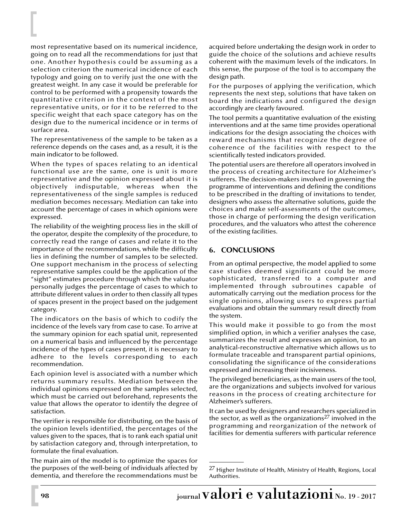most representative based on its numerical incidence, going on to read all the recommendations for just that one. Another hypothesis could be assuming as a selection criterion the numerical incidence of each typology and going on to verify just the one with the greatest weight. In any case it would be preferable for control to be performed with a propensity towards the quantitative criterion in the context of the most representative units, or for it to be referred to the specific weight that each space category has on the design due to the numerical incidence or in terms of surface area.

The representativeness of the sample to be taken as a reference depends on the cases and, as a result, it is the main indicator to be followed.

When the types of spaces relating to an identical functional use are the same, one is unit is more representative and the opinion expressed about it is objectively indisputable, whereas when the representativeness of the single samples is reduced mediation becomes necessary. Mediation can take into account the percentage of cases in which opinions were expressed.

The reliability of the weighting process lies in the skill of the operator, despite the complexity of the procedure, to correctly read the range of cases and relate it to the importance of the recommendations, while the difficulty lies in defining the number of samples to be selected. One support mechanism in the process of selecting representative samples could be the application of the "sight" estimates procedure through which the valuator personally judges the percentage of cases to which to attribute different values in order to then classify all types of spaces present in the project based on the judgement category.

The indicators on the basis of which to codify the incidence of the levels vary from case to case. To arrive at the summary opinion for each spatial unit, represented on a numerical basis and influenced by the percentage incidence of the types of cases present, it is necessary to adhere to the levels corresponding to each recommendation.

Each opinion level is associated with a number which returns summary results. Mediation between the individual opinions expressed on the samples selected, which must be carried out beforehand, represents the value that allows the operator to identify the degree of satisfaction.

The verifier is responsible for distributing, on the basis of the opinion levels identified, the percentages of the values given to the spaces, that is to rank each spatial unit by satisfaction category and, through interpretation, to formulate the final evaluation.

The main aim of the model is to optimize the spaces for the purposes of the well-being of individuals affected by dementia, and therefore the recommendations must be

acquired before undertaking the design work in order to guide the choice of the solutions and achieve results coherent with the maximum levels of the indicators. In this sense, the purpose of the tool is to accompany the design path.

For the purposes of applying the verification, which represents the next step, solutions that have taken on board the indications and configured the design accordingly are clearly favoured.

The tool permits a quantitative evaluation of the existing interventions and at the same time provides operational indications for the design associating the choices with reward mechanisms that recognize the degree of coherence of the facilities with respect to the scientifically tested indicators provided.

The potential users are therefore all operators involved in the process of creating architecture for Alzheimer's sufferers. The decision-makers involved in governing the programme of interventions and defining the conditions to be prescribed in the drafting of invitations to tender, designers who assess the alternative solutions, guide the choices and make self-assessments of the outcomes, those in charge of performing the design verification procedures, and the valuators who attest the coherence of the existing facilities.

#### **6. CONCLUSIONS**

From an optimal perspective, the model applied to some case studies deemed significant could be more sophisticated, transferred to a computer and implemented through subroutines capable of automatically carrying out the mediation process for the single opinions, allowing users to express partial evaluations and obtain the summary result directly from the system.

This would make it possible to go from the most simplified option, in which a verifier analyses the case, summarizes the result and expresses an opinion, to an analytical-reconstructive alternative which allows us to formulate traceable and transparent partial opinions, consolidating the significance of the considerations expressed and increasing their incisiveness.

The privileged beneficiaries, as the main users of the tool, are the organizations and subjects involved for various reasons in the process of creating architecture for Alzheimer's sufferers.

It can be used by designers and researchers specialized in the sector, as well as the organizations<sup>27</sup> involved in the programming and reorganization of the network of facilities for dementia sufferers with particular reference

 $27$  Higher Institute of Health, Ministry of Health, Regions, Local Authorities.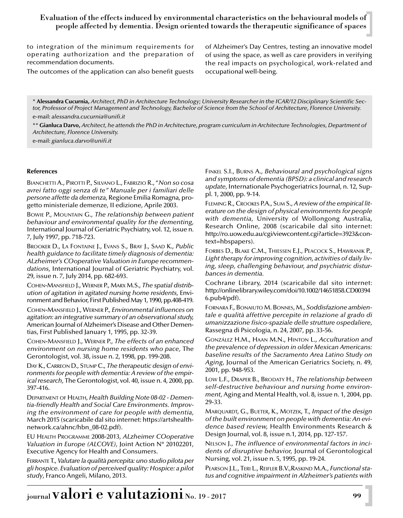to integration of the minimum requirements for operating authorization and the preparation of recommendation documents.

The outcomes of the application can also benefit guests

of Alzheimer's Day Centres, testing an innovative model of using the space, as well as care providers in verifying the real impacts on psychological, work-related and occupational well-being.

\* **Alessandra Cucurnia,** *Architect, PhD in Architecture Technology; University Researcher in the ICAR/12 Disciplinary Scientific Sector, Professor of Project Management and Technology, Bachelor of Science from the School of Architecture, Florence University.* e-mail: *alessandra.cucurnia@unifi.it*

\*\* **Gianluca Darvo,** *Architect, he attends the PhD in Architecture, program curriculum in Architecture Technologies, Department of Architecture, Florence University.*

e-mail: *gianluca.darvo@unifi.it*

#### **References**

BIANCHETTI A., PIROTTI P., SILVANO L., FABRIZIO R., "*Non so cosa avrei fatto oggi senza di te" Manuale per i familiari delle persone affette da demenza*, Regione Emilia Romagna, progetto ministeriale demenze, II edizione, Aprile 2003.

BOWIE P., MOUNTAIN G., *The relationship between patient behaviour and environmental quality for the dementing,* International Journal of Geriatric Psychiatry, vol. 12, issue n. 7, July 1997, pp. 718-723.

BROOKER D., LA FONTAINE J., EVANS S., BRAY J., SAAD K., *Public health guidance to facilitate timely diagnosis of dementia: ALzheimer's COoperative Valuation in Europe recommendations*, International Journal of Geriatric Psychiatry, vol. 29, issue n. 7, July 2014, pp. 682-693.

COHEN-MANSFIELD J., WERNER P., MARX M.S., *The spatial distribution of agitation in agitated nursing home residents,* Environment and Behavior, First Published May 1, 1990, pp.408-419.

COHEN-MANSFIELD J., WERNER P., *Environmental influences on agitation: an integrative summary of an observational study,* American Journal of Alzheimer's Disease and Other Dementias, First Published January 1, 1995, pp. 32-39.

COHEN-MANSFIELD J., WERNER P., *The effects of an enhanced environment on nursing home residents who pace,* The Gerontologist, vol. 38, issue n. 2, 1998, pp. 199-208.

DAY K., CARREON D., STUMP C., *The therapeutic design of environments for people with dementia: A review of the empirical research,* The Gerontologist, vol. 40, issue n. 4, 2000, pp. 397-416.

DEPARTMENT OF HEALTH, *Health Building Note 08-02 - Dementia-friendly Health and Social Care Environments. Improving the environment of care for people with dementia*, March 2015 (scaricabile dal sito internet: https://artshealthnetwork.ca/ahnc/hbn\_08-02.pdf).

EU HEALTH PROGRAMME 2008-2013, *ALzheimer COoperative Valuation in Europe (ALCOVE)*, Joint Action N° 20102201, Executive Agency for Health and Consumers.

FERRANTE T., *Valutare la qualità percepita: uno studio pilota per gli hospice. Evaluation of perceived quality: Hospice: a pilot study*, Franco Angeli, Milano, 2013.

FINKEL S.I., BURNS A., *Behavioural and psychological signs and symptoms of dementia (BPSD): a clinical and research update*, Internationale Psychogeriatrics Journal, n. 12, Suppl. 1, 2000, pp. 9-14.

FLEMING R., CROOKES P.A., SUM S., *A review of the empirical literature on the design of physical environments for people with dementia*, University of Wollongong Australia, Research Online, 2008 (scaricabile dal sito internet: http://ro.uow.edu.au/cgi/viewcontent.cgi?article=3923&context=hbspapers).

FORBES D., BLAKE C.M., THIESSEN E.J., PEACOCK S., HAWRANIK P., *Light therapy for improving cognition, activities of daily living, sleep, challenging behaviour, and psychiatric disturbances in dementia.*

Cochrane Library, 2014 (scaricabile dal sito internet: http://onlinelibrary.wiley.com/doi/10.1002/14651858.CD00394 6.pub4/pdf).

FORNARA F., BONAIUTO M. BONNES, M., *Soddisfazione ambientale e qualità affettive percepite in relazione al grado di umanizzazione fisico-spaziale delle strutture ospedaliere*, Rassegna di Psicologia, n. 24, 2007, pp. 33-56.

GONZÁLEZ H.M., HAAN M.N., HINTON L., *Acculturation and the prevalence of depression in older Mexican Americans: baseline results of the Sacramento Area Latino Study on Aging*, Journal of the American Geriatrics Society, n. 49, 2001, pp. 948-953.

LOW L.F., DRAPER B., BRODATY H., *The relationship between self-destructive behaviour and nursing home environment,* Aging and Mental Health, vol. 8, issue n. 1, 2004, pp. 29-33.

MARQUARDT, G., BUETER, K., MOTZEK, T., *Impact of the design of the built environment on people with dementia: An evidence based review,* Health Environments Research & Design Journal, vol. 8, issue n.1, 2014, pp. 127-157.

NELSON J., *The influence of environmental factors in incidents of disruptive behavior,* Journal of Gerontological Nursing, vol. 21, issue n. 5, 1995, pp. 19-24.

PEARSON J.L., TERI L., REIFLER B.V.,RASKIND M.A., *Functional status and cognitive impairment in Alzheimer's patients with*